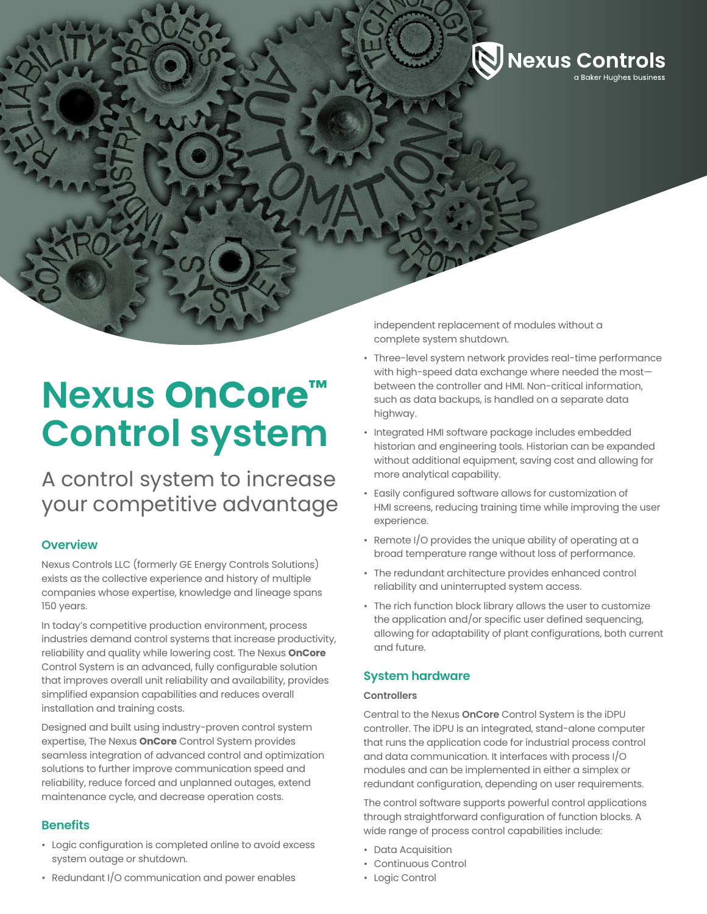

# **Nexus OnCore™ Control system**

A control system to increase your competitive advantage

# **Overview**

Nexus Controls LLC (formerly GE Energy Controls Solutions) exists as the collective experience and history of multiple companies whose expertise, knowledge and lineage spans 150 years.

In today's competitive production environment, process industries demand control systems that increase productivity, reliability and quality while lowering cost. The Nexus **OnCore** Control System is an advanced, fully configurable solution that improves overall unit reliability and availability, provides simplified expansion capabilities and reduces overall installation and training costs.

Designed and built using industry-proven control system expertise, The Nexus **OnCore** Control System provides seamless integration of advanced control and optimization solutions to further improve communication speed and reliability, reduce forced and unplanned outages, extend maintenance cycle, and decrease operation costs.

## **Benefits**

- Logic configuration is completed online to avoid excess system outage or shutdown.
- Redundant I/O communication and power enables

independent replacement of modules without a complete system shutdown.

- Three-level system network provides real-time performance with high-speed data exchange where needed the most between the controller and HMI. Non-critical information, such as data backups, is handled on a separate data highway.
- Integrated HMI software package includes embedded historian and engineering tools. Historian can be expanded without additional equipment, saving cost and allowing for more analytical capability.
- Easily configured software allows for customization of HMI screens, reducing training time while improving the user experience.
- Remote I/O provides the unique ability of operating at a broad temperature range without loss of performance.
- The redundant architecture provides enhanced control reliability and uninterrupted system access.
- The rich function block library allows the user to customize the application and/or specific user defined sequencing, allowing for adaptability of plant configurations, both current and future.

# **System hardware**

#### **Controllers**

Central to the Nexus **OnCore** Control System is the iDPU controller. The iDPU is an integrated, stand-alone computer that runs the application code for industrial process control and data communication. It interfaces with process I/O modules and can be implemented in either a simplex or redundant configuration, depending on user requirements.

The control software supports powerful control applications through straightforward configuration of function blocks. A wide range of process control capabilities include:

- Data Acquisition
- Continuous Control
- Logic Control